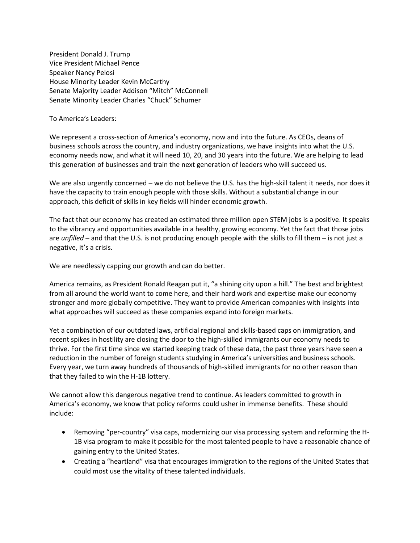President Donald J. Trump Vice President Michael Pence Speaker Nancy Pelosi House Minority Leader Kevin McCarthy Senate Majority Leader Addison "Mitch" McConnell Senate Minority Leader Charles "Chuck" Schumer

To America's Leaders:

We represent a cross-section of America's economy, now and into the future. As CEOs, deans of business schools across the country, and industry organizations, we have insights into what the U.S. economy needs now, and what it will need 10, 20, and 30 years into the future. We are helping to lead this generation of businesses and train the next generation of leaders who will succeed us.

We are also urgently concerned – we do not believe the U.S. has the high-skill talent it needs, nor does it have the capacity to train enough people with those skills. Without a substantial change in our approach, this deficit of skills in key fields will hinder economic growth.

The fact that our economy has created an estimated three million open STEM jobs is a positive. It speaks to the vibrancy and opportunities available in a healthy, growing economy. Yet the fact that those jobs are *unfilled* – and that the U.S. is not producing enough people with the skills to fill them – is not just a negative, it's a crisis.

We are needlessly capping our growth and can do better.

America remains, as President Ronald Reagan put it, "a shining city upon a hill." The best and brightest from all around the world want to come here, and their hard work and expertise make our economy stronger and more globally competitive. They want to provide American companies with insights into what approaches will succeed as these companies expand into foreign markets.

Yet a combination of our outdated laws, artificial regional and skills-based caps on immigration, and recent spikes in hostility are closing the door to the high-skilled immigrants our economy needs to thrive. For the first time since we started keeping track of these data, the past three years have seen a reduction in the number of foreign students studying in America's universities and business schools. Every year, we turn away hundreds of thousands of high-skilled immigrants for no other reason than that they failed to win the H-1B lottery.

We cannot allow this dangerous negative trend to continue. As leaders committed to growth in America's economy, we know that policy reforms could usher in immense benefits. These should include:

- Removing "per-country" visa caps, modernizing our visa processing system and reforming the H-1B visa program to make it possible for the most talented people to have a reasonable chance of gaining entry to the United States.
- Creating a "heartland" visa that encourages immigration to the regions of the United States that could most use the vitality of these talented individuals.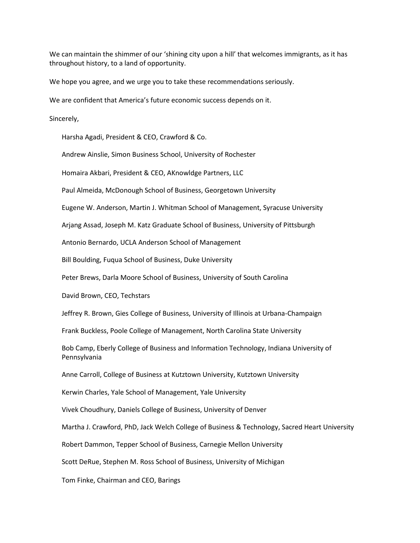We can maintain the shimmer of our 'shining city upon a hill' that welcomes immigrants, as it has throughout history, to a land of opportunity.

We hope you agree, and we urge you to take these recommendations seriously.

We are confident that America's future economic success depends on it.

Sincerely,

Harsha Agadi, President & CEO, Crawford & Co.

Andrew Ainslie, Simon Business School, University of Rochester

Homaira Akbari, President & CEO, AKnowldge Partners, LLC

Paul Almeida, McDonough School of Business, Georgetown University

Eugene W. Anderson, Martin J. Whitman School of Management, Syracuse University

Arjang Assad, Joseph M. Katz Graduate School of Business, University of Pittsburgh

Antonio Bernardo, UCLA Anderson School of Management

Bill Boulding, Fuqua School of Business, Duke University

Peter Brews, Darla Moore School of Business, University of South Carolina

David Brown, CEO, Techstars

Jeffrey R. Brown, Gies College of Business, University of Illinois at Urbana-Champaign

Frank Buckless, Poole College of Management, North Carolina State University

Bob Camp, Eberly College of Business and Information Technology, Indiana University of Pennsylvania

Anne Carroll, College of Business at Kutztown University, Kutztown University

Kerwin Charles, Yale School of Management, Yale University

Vivek Choudhury, Daniels College of Business, University of Denver

Martha J. Crawford, PhD, Jack Welch College of Business & Technology, Sacred Heart University

Robert Dammon, Tepper School of Business, Carnegie Mellon University

Scott DeRue, Stephen M. Ross School of Business, University of Michigan

Tom Finke, Chairman and CEO, Barings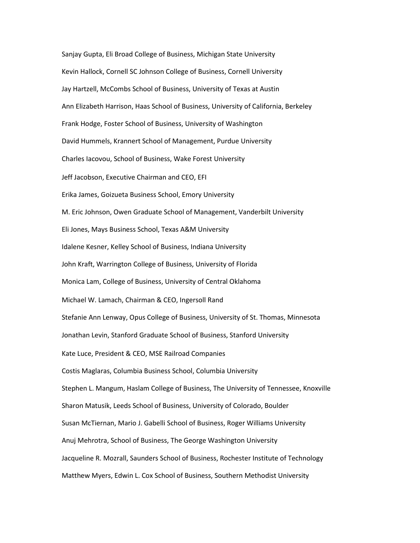Sanjay Gupta, Eli Broad College of Business, Michigan State University Kevin Hallock, Cornell SC Johnson College of Business, Cornell University Jay Hartzell, McCombs School of Business, University of Texas at Austin Ann Elizabeth Harrison, Haas School of Business, University of California, Berkeley Frank Hodge, Foster School of Business, University of Washington David Hummels, Krannert School of Management, Purdue University Charles Iacovou, School of Business, Wake Forest University Jeff Jacobson, Executive Chairman and CEO, EFI Erika James, Goizueta Business School, Emory University M. Eric Johnson, Owen Graduate School of Management, Vanderbilt University Eli Jones, Mays Business School, Texas A&M University Idalene Kesner, Kelley School of Business, Indiana University John Kraft, Warrington College of Business, University of Florida Monica Lam, College of Business, University of Central Oklahoma Michael W. Lamach, Chairman & CEO, Ingersoll Rand Stefanie Ann Lenway, Opus College of Business, University of St. Thomas, Minnesota Jonathan Levin, Stanford Graduate School of Business, Stanford University Kate Luce, President & CEO, MSE Railroad Companies Costis Maglaras, Columbia Business School, Columbia University Stephen L. Mangum, Haslam College of Business, The University of Tennessee, Knoxville Sharon Matusik, Leeds School of Business, University of Colorado, Boulder Susan McTiernan, Mario J. Gabelli School of Business, Roger Williams University Anuj Mehrotra, School of Business, The George Washington University Jacqueline R. Mozrall, Saunders School of Business, Rochester Institute of Technology Matthew Myers, Edwin L. Cox School of Business, Southern Methodist University